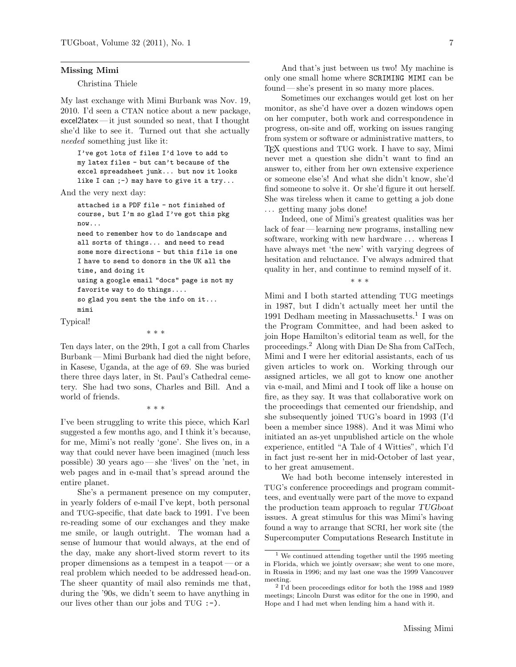## Missing Mimi

## Christina Thiele

My last exchange with Mimi Burbank was Nov. 19, 2010. I'd seen a CTAN notice about a new package, excel2latex — it just sounded so neat, that I thought she'd like to see it. Turned out that she actually needed something just like it:

I've got lots of files I'd love to add to my latex files - but can't because of the excel spreadsheet junk... but now it looks like I can ;-) may have to give it a  $try...$ 

And the very next day:

attached is a PDF file - not finished of course, but I'm so glad I've got this pkg now...

need to remember how to do landscape and all sorts of things... and need to read some more directions - but this file is one I have to send to donors in the UK all the time, and doing it

using a google email "docs" page is not my favorite way to do things....

so glad you sent the the info on it... mimi

Typical!

\* \* \*

Ten days later, on the 29th, I got a call from Charles Burbank — Mimi Burbank had died the night before, in Kasese, Uganda, at the age of 69. She was buried there three days later, in St. Paul's Cathedral cemetery. She had two sons, Charles and Bill. And a world of friends.

\* \* \*

I've been struggling to write this piece, which Karl suggested a few months ago, and I think it's because, for me, Mimi's not really 'gone'. She lives on, in a way that could never have been imagined (much less possible) 30 years ago— she 'lives' on the 'net, in web pages and in e-mail that's spread around the entire planet.

She's a permanent presence on my computer, in yearly folders of e-mail I've kept, both personal and TUG-specific, that date back to 1991. I've been re-reading some of our exchanges and they make me smile, or laugh outright. The woman had a sense of humour that would always, at the end of the day, make any short-lived storm revert to its proper dimensions as a tempest in a teapot— or a real problem which needed to be addressed head-on. The sheer quantity of mail also reminds me that, during the '90s, we didn't seem to have anything in our lives other than our jobs and TUG :-).

And that's just between us two! My machine is only one small home where SCRIMING MIMI can be found — she's present in so many more places.

Sometimes our exchanges would get lost on her monitor, as she'd have over a dozen windows open on her computer, both work and correspondence in progress, on-site and off, working on issues ranging from system or software or administrative matters, to TEX questions and TUG work. I have to say, Mimi never met a question she didn't want to find an answer to, either from her own extensive experience or someone else's! And what she didn't know, she'd find someone to solve it. Or she'd figure it out herself. She was tireless when it came to getting a job done ... getting many jobs done!

Indeed, one of Mimi's greatest qualities was her lack of fear — learning new programs, installing new software, working with new hardware . . . whereas I have always met 'the new' with varying degrees of hesitation and reluctance. I've always admired that quality in her, and continue to remind myself of it.

\* \* \*

Mimi and I both started attending TUG meetings in 1987, but I didn't actually meet her until the 1991 Dedham meeting in Massachusetts.<sup>1</sup> I was on the Program Committee, and had been asked to join Hope Hamilton's editorial team as well, for the proceedings.<sup>2</sup> Along with Dian De Sha from CalTech, Mimi and I were her editorial assistants, each of us given articles to work on. Working through our assigned articles, we all got to know one another via e-mail, and Mimi and I took off like a house on fire, as they say. It was that collaborative work on the proceedings that cemented our friendship, and she subsequently joined TUG's board in 1993 (I'd been a member since 1988). And it was Mimi who initiated an as-yet unpublished article on the whole experience, entitled "A Tale of 4 Witties", which I'd in fact just re-sent her in mid-October of last year, to her great amusement.

We had both become intensely interested in TUG's conference proceedings and program committees, and eventually were part of the move to expand the production team approach to regular TUGboat issues. A great stimulus for this was Mimi's having found a way to arrange that SCRI, her work site (the Supercomputer Computations Research Institute in

We continued attending together until the 1995 meeting in Florida, which we jointly oversaw; she went to one more, in Russia in 1996; and my last one was the 1999 Vancouver meeting.

<sup>2</sup> I'd been proceedings editor for both the 1988 and 1989 meetings; Lincoln Durst was editor for the one in 1990, and Hope and I had met when lending him a hand with it.